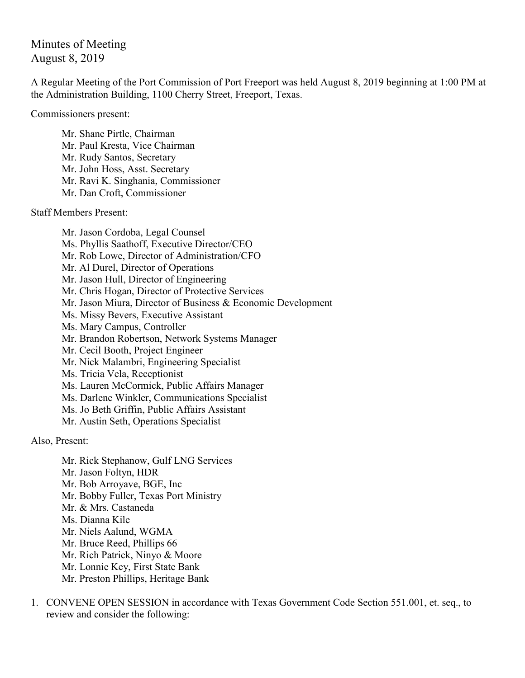Minutes of Meeting August 8, 2019

A Regular Meeting of the Port Commission of Port Freeport was held August 8, 2019 beginning at 1:00 PM at the Administration Building, 1100 Cherry Street, Freeport, Texas.

Commissioners present:

Mr. Shane Pirtle, Chairman Mr. Paul Kresta, Vice Chairman Mr. Rudy Santos, Secretary Mr. John Hoss, Asst. Secretary Mr. Ravi K. Singhania, Commissioner Mr. Dan Croft, Commissioner

Staff Members Present:

Mr. Jason Cordoba, Legal Counsel Ms. Phyllis Saathoff, Executive Director/CEO Mr. Rob Lowe, Director of Administration/CFO Mr. Al Durel, Director of Operations Mr. Jason Hull, Director of Engineering Mr. Chris Hogan, Director of Protective Services Mr. Jason Miura, Director of Business & Economic Development Ms. Missy Bevers, Executive Assistant Ms. Mary Campus, Controller Mr. Brandon Robertson, Network Systems Manager Mr. Cecil Booth, Project Engineer Mr. Nick Malambri, Engineering Specialist Ms. Tricia Vela, Receptionist Ms. Lauren McCormick, Public Affairs Manager Ms. Darlene Winkler, Communications Specialist Ms. Jo Beth Griffin, Public Affairs Assistant Mr. Austin Seth, Operations Specialist

Also, Present:

Mr. Rick Stephanow, Gulf LNG Services Mr. Jason Foltyn, HDR Mr. Bob Arroyave, BGE, Inc Mr. Bobby Fuller, Texas Port Ministry Mr. & Mrs. Castaneda Ms. Dianna Kile Mr. Niels Aalund, WGMA Mr. Bruce Reed, Phillips 66 Mr. Rich Patrick, Ninyo & Moore Mr. Lonnie Key, First State Bank Mr. Preston Phillips, Heritage Bank

1. CONVENE OPEN SESSION in accordance with Texas Government Code Section 551.001, et. seq., to review and consider the following: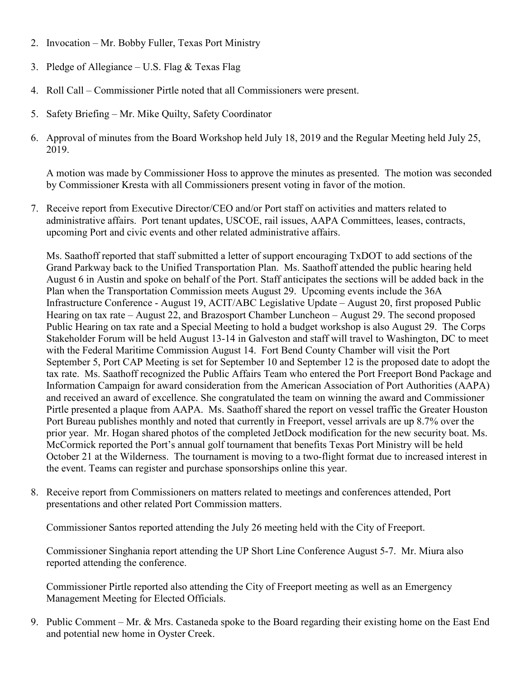- 2. Invocation Mr. Bobby Fuller, Texas Port Ministry
- 3. Pledge of Allegiance U.S. Flag  $&$  Texas Flag
- 4. Roll Call Commissioner Pirtle noted that all Commissioners were present.
- 5. Safety Briefing Mr. Mike Quilty, Safety Coordinator
- 6. Approval of minutes from the Board Workshop held July 18, 2019 and the Regular Meeting held July 25, 2019.

A motion was made by Commissioner Hoss to approve the minutes as presented. The motion was seconded by Commissioner Kresta with all Commissioners present voting in favor of the motion.

7. Receive report from Executive Director/CEO and/or Port staff on activities and matters related to administrative affairs. Port tenant updates, USCOE, rail issues, AAPA Committees, leases, contracts, upcoming Port and civic events and other related administrative affairs.

Ms. Saathoff reported that staff submitted a letter of support encouraging TxDOT to add sections of the Grand Parkway back to the Unified Transportation Plan. Ms. Saathoff attended the public hearing held August 6 in Austin and spoke on behalf of the Port. Staff anticipates the sections will be added back in the Plan when the Transportation Commission meets August 29. Upcoming events include the 36A Infrastructure Conference - August 19, ACIT/ABC Legislative Update – August 20, first proposed Public Hearing on tax rate – August 22, and Brazosport Chamber Luncheon – August 29. The second proposed Public Hearing on tax rate and a Special Meeting to hold a budget workshop is also August 29. The Corps Stakeholder Forum will be held August 13-14 in Galveston and staff will travel to Washington, DC to meet with the Federal Maritime Commission August 14. Fort Bend County Chamber will visit the Port September 5, Port CAP Meeting is set for September 10 and September 12 is the proposed date to adopt the tax rate. Ms. Saathoff recognized the Public Affairs Team who entered the Port Freeport Bond Package and Information Campaign for award consideration from the American Association of Port Authorities (AAPA) and received an award of excellence. She congratulated the team on winning the award and Commissioner Pirtle presented a plaque from AAPA. Ms. Saathoff shared the report on vessel traffic the Greater Houston Port Bureau publishes monthly and noted that currently in Freeport, vessel arrivals are up 8.7% over the prior year. Mr. Hogan shared photos of the completed JetDock modification for the new security boat. Ms. McCormick reported the Port's annual golf tournament that benefits Texas Port Ministry will be held October 21 at the Wilderness. The tournament is moving to a two-flight format due to increased interest in the event. Teams can register and purchase sponsorships online this year.

8. Receive report from Commissioners on matters related to meetings and conferences attended, Port presentations and other related Port Commission matters.

Commissioner Santos reported attending the July 26 meeting held with the City of Freeport.

Commissioner Singhania report attending the UP Short Line Conference August 5-7. Mr. Miura also reported attending the conference.

Commissioner Pirtle reported also attending the City of Freeport meeting as well as an Emergency Management Meeting for Elected Officials.

9. Public Comment – Mr. & Mrs. Castaneda spoke to the Board regarding their existing home on the East End and potential new home in Oyster Creek.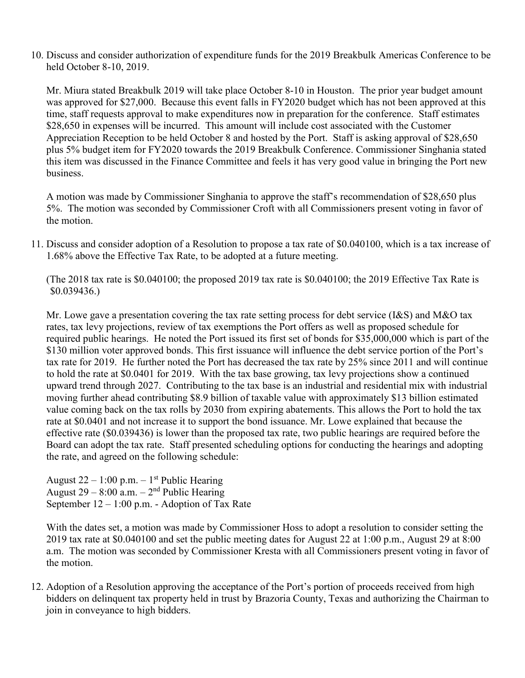10. Discuss and consider authorization of expenditure funds for the 2019 Breakbulk Americas Conference to be held October 8-10, 2019.

Mr. Miura stated Breakbulk 2019 will take place October 8-10 in Houston. The prior year budget amount was approved for \$27,000. Because this event falls in FY2020 budget which has not been approved at this time, staff requests approval to make expenditures now in preparation for the conference. Staff estimates \$28,650 in expenses will be incurred. This amount will include cost associated with the Customer Appreciation Reception to be held October 8 and hosted by the Port. Staff is asking approval of \$28,650 plus 5% budget item for FY2020 towards the 2019 Breakbulk Conference. Commissioner Singhania stated this item was discussed in the Finance Committee and feels it has very good value in bringing the Port new business.

A motion was made by Commissioner Singhania to approve the staff's recommendation of \$28,650 plus 5%. The motion was seconded by Commissioner Croft with all Commissioners present voting in favor of the motion.

11. Discuss and consider adoption of a Resolution to propose a tax rate of \$0.040100, which is a tax increase of 1.68% above the Effective Tax Rate, to be adopted at a future meeting.

(The 2018 tax rate is \$0.040100; the proposed 2019 tax rate is \$0.040100; the 2019 Effective Tax Rate is \$0.039436.)

Mr. Lowe gave a presentation covering the tax rate setting process for debt service (I&S) and M&O tax rates, tax levy projections, review of tax exemptions the Port offers as well as proposed schedule for required public hearings. He noted the Port issued its first set of bonds for \$35,000,000 which is part of the \$130 million voter approved bonds. This first issuance will influence the debt service portion of the Port's tax rate for 2019. He further noted the Port has decreased the tax rate by 25% since 2011 and will continue to hold the rate at \$0.0401 for 2019. With the tax base growing, tax levy projections show a continued upward trend through 2027. Contributing to the tax base is an industrial and residential mix with industrial moving further ahead contributing \$8.9 billion of taxable value with approximately \$13 billion estimated value coming back on the tax rolls by 2030 from expiring abatements. This allows the Port to hold the tax rate at \$0.0401 and not increase it to support the bond issuance. Mr. Lowe explained that because the effective rate (\$0.039436) is lower than the proposed tax rate, two public hearings are required before the Board can adopt the tax rate. Staff presented scheduling options for conducting the hearings and adopting the rate, and agreed on the following schedule:

August 22 – 1:00 p.m.  $-1<sup>st</sup>$  Public Hearing August  $29 - 8:00$  a.m.  $-2<sup>nd</sup>$  Public Hearing September 12 – 1:00 p.m. - Adoption of Tax Rate

With the dates set, a motion was made by Commissioner Hoss to adopt a resolution to consider setting the 2019 tax rate at \$0.040100 and set the public meeting dates for August 22 at 1:00 p.m., August 29 at 8:00 a.m. The motion was seconded by Commissioner Kresta with all Commissioners present voting in favor of the motion.

12. Adoption of a Resolution approving the acceptance of the Port's portion of proceeds received from high bidders on delinquent tax property held in trust by Brazoria County, Texas and authorizing the Chairman to join in conveyance to high bidders.